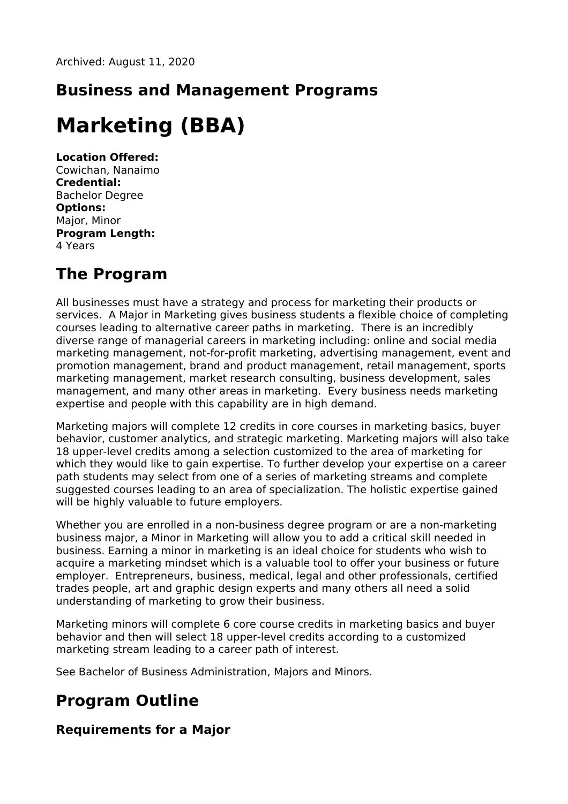## **Business and Management Programs**

# **Marketing (BBA)**

**Location Offered:** Cowichan, Nanaimo **Credential:** Bachelor Degree **Options:** Major, Minor **Program Length:** 4 Years

## **The Program**

All businesses must have a strategy and process for marketing their products or services. A Major in Marketing gives business students a flexible choice of completing courses leading to alternative career paths in marketing. There is an incredibly diverse range of managerial careers in marketing including: online and social media marketing management, not-for-profit marketing, advertising management, event and promotion management, brand and product management, retail management, sports marketing management, market research consulting, business development, sales management, and many other areas in marketing. Every business needs marketing expertise and people with this capability are in high demand.

Marketing majors will complete 12 credits in core courses in marketing basics, buyer behavior, customer analytics, and strategic marketing. Marketing majors will also take 18 upper-level credits among a selection customized to the area of marketing for which they would like to gain expertise. To further develop your expertise on a career path students may select from one of a series of marketing streams and complete suggested courses leading to an area of specialization. The holistic expertise gained will be highly valuable to future employers.

Whether you are enrolled in a non-business degree program or are a non-marketing business major, a Minor in Marketing will allow you to add a critical skill needed in business. Earning a minor in marketing is an ideal choice for students who wish to acquire a marketing mindset which is a valuable tool to offer your business or future employer. Entrepreneurs, business, medical, legal and other professionals, certified trades people, art and graphic design experts and many others all need a solid understanding of marketing to grow their business.

Marketing minors will complete 6 core course credits in marketing basics and buyer behavior and then will select 18 upper-level credits according to a customized marketing stream leading to a career path of interest.

See Bachelor of Business Administration, Majors and Minors.

## **Program Outline**

#### **Requirements for a Major**